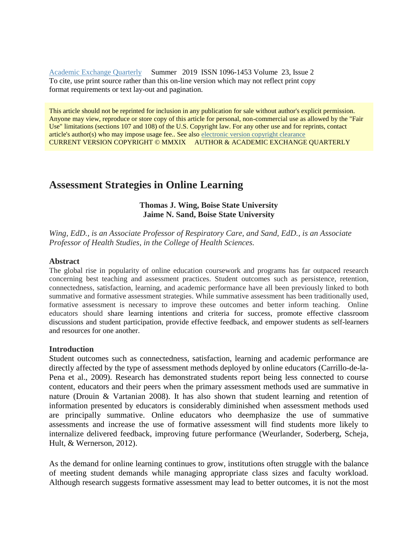[Academic Exchange Quarterly](http://rapidintellect.com/AEQweb/) Summer 2019 ISSN 1096-1453 Volume 23, Issue 2 To cite, use print source rather than this on-line version which may not reflect print copy format requirements or text lay-out and pagination.

This article should not be reprinted for inclusion in any publication for sale without author's explicit permission. Anyone may view, reproduce or store copy of this article for personal, non-commercial use as allowed by the "Fair Use" limitations (sections 107 and 108) of the U.S. Copyright law. For any other use and for reprints, contact article's author(s) who may impose usage fee.. See also [electronic version copyright clearance](http://www.rapidintellect.com/AEQweb/macacl.htm) CURRENT VERSION COPYRIGHT © MMXIX AUTHOR & ACADEMIC EXCHANGE QUARTERLY

# **Assessment Strategies in Online Learning**

## **Thomas J. Wing, Boise State University Jaime N. Sand, Boise State University**

*Wing, EdD., is an Associate Professor of Respiratory Care, and Sand, EdD., is an Associate Professor of Health Studies, in the College of Health Sciences.*

#### **Abstract**

The global rise in popularity of online education coursework and programs has far outpaced research concerning best teaching and assessment practices. Student outcomes such as persistence, retention, connectedness, satisfaction, learning, and academic performance have all been previously linked to both summative and formative assessment strategies. While summative assessment has been traditionally used, formative assessment is necessary to improve these outcomes and better inform teaching. Online educators should share learning intentions and criteria for success, promote effective classroom discussions and student participation, provide effective feedback, and empower students as self-learners and resources for one another.

#### **Introduction**

Student outcomes such as connectedness, satisfaction, learning and academic performance are directly affected by the type of assessment methods deployed by online educators (Carrillo-de-la-Pena et al., 2009). Research has demonstrated students report being less connected to course content, educators and their peers when the primary assessment methods used are summative in nature (Drouin & Vartanian 2008). It has also shown that student learning and retention of information presented by educators is considerably diminished when assessment methods used are principally summative. Online educators who deemphasize the use of summative assessments and increase the use of formative assessment will find students more likely to internalize delivered feedback, improving future performance (Weurlander, Soderberg, Scheja, Hult, & Wernerson, 2012).

As the demand for online learning continues to grow, institutions often struggle with the balance of meeting student demands while managing appropriate class sizes and faculty workload. Although research suggests formative assessment may lead to better outcomes, it is not the most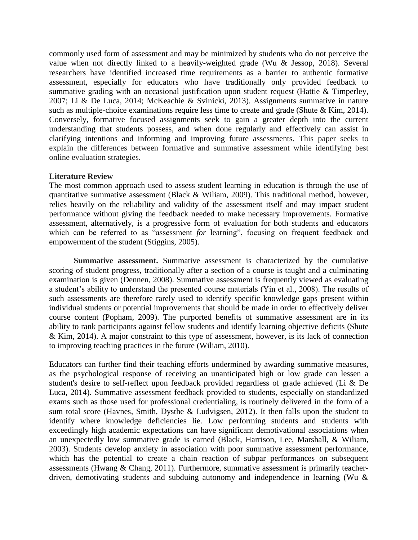commonly used form of assessment and may be minimized by students who do not perceive the value when not directly linked to a heavily-weighted grade (Wu & Jessop, 2018). Several researchers have identified increased time requirements as a barrier to authentic formative assessment, especially for educators who have traditionally only provided feedback to summative grading with an occasional justification upon student request (Hattie & Timperley, 2007; Li & De Luca, 2014; McKeachie & Svinicki, 2013). Assignments summative in nature such as multiple-choice examinations require less time to create and grade (Shute & Kim, 2014). Conversely, formative focused assignments seek to gain a greater depth into the current understanding that students possess, and when done regularly and effectively can assist in clarifying intentions and informing and improving future assessments. This paper seeks to explain the differences between formative and summative assessment while identifying best online evaluation strategies.

## **Literature Review**

The most common approach used to assess student learning in education is through the use of quantitative summative assessment (Black & Wiliam, 2009). This traditional method, however, relies heavily on the reliability and validity of the assessment itself and may impact student performance without giving the feedback needed to make necessary improvements. Formative assessment, alternatively, is a progressive form of evaluation for both students and educators which can be referred to as "assessment *for* learning", focusing on frequent feedback and empowerment of the student (Stiggins, 2005).

**Summative assessment.** Summative assessment is characterized by the cumulative scoring of student progress, traditionally after a section of a course is taught and a culminating examination is given (Dennen, 2008). Summative assessment is frequently viewed as evaluating a student's ability to understand the presented course materials (Yin et al., 2008). The results of such assessments are therefore rarely used to identify specific knowledge gaps present within individual students or potential improvements that should be made in order to effectively deliver course content (Popham, 2009). The purported benefits of summative assessment are in its ability to rank participants against fellow students and identify learning objective deficits (Shute & Kim, 2014). A major constraint to this type of assessment, however, is its lack of connection to improving teaching practices in the future (Wiliam, 2010).

Educators can further find their teaching efforts undermined by awarding summative measures, as the psychological response of receiving an unanticipated high or low grade can lessen a student's desire to self-reflect upon feedback provided regardless of grade achieved (Li & De Luca, 2014). Summative assessment feedback provided to students, especially on standardized exams such as those used for professional credentialing, is routinely delivered in the form of a sum total score (Havnes, Smith, Dysthe & Ludvigsen, 2012). It then falls upon the student to identify where knowledge deficiencies lie. Low performing students and students with exceedingly high academic expectations can have significant demotivational associations when an unexpectedly low summative grade is earned (Black, Harrison, Lee, Marshall, & Wiliam, 2003). Students develop anxiety in association with poor summative assessment performance, which has the potential to create a chain reaction of subpar performances on subsequent assessments (Hwang & Chang, 2011). Furthermore, summative assessment is primarily teacherdriven, demotivating students and subduing autonomy and independence in learning (Wu &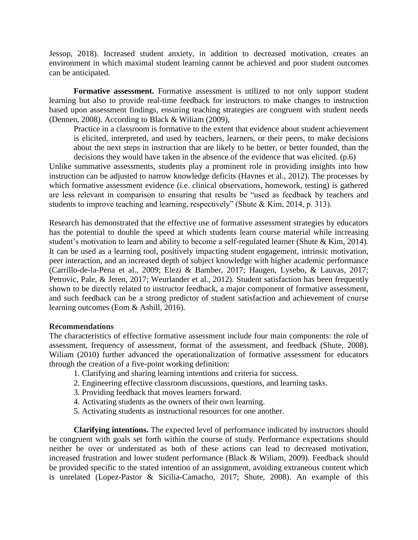Jessop, 2018). Increased student anxiety, in addition to decreased motivation, creates an environment in which maximal student learning cannot be achieved and poor student outcomes can be anticipated.

**Formative assessment.** Formative assessment is utilized to not only support student learning but also to provide real-time feedback for instructors to make changes to instruction based upon assessment findings, ensuring teaching strategies are congruent with student needs (Dennen, 2008). According to Black & Wiliam (2009),

Practice in a classroom is formative to the extent that evidence about student achievement is elicited, interpreted, and used by teachers, learners, or their peers, to make decisions about the next steps in instruction that are likely to be better, or better founded, than the decisions they would have taken in the absence of the evidence that was elicited. (p.6)

Unlike summative assessments, students play a prominent role in providing insights into how instruction can be adjusted to narrow knowledge deficits (Havnes et al., 2012). The processes by which formative assessment evidence (i.e. clinical observations, homework, testing) is gathered are less relevant in comparison to ensuring that results be "used as feedback by teachers and students to improve teaching and learning, respectively" (Shute & Kim, 2014, p. 313).

Research has demonstrated that the effective use of formative assessment strategies by educators has the potential to double the speed at which students learn course material while increasing student's motivation to learn and ability to become a self-regulated learner (Shute & Kim, 2014). It can be used as a learning tool, positively impacting student engagement, intrinsic motivation, peer interaction, and an increased depth of subject knowledge with higher academic performance (Carrillo-de-la-Pena et al., 2009; Elezi & Bamber, 2017; Haugen, Lysebo, & Lauvas, 2017; Petrovic, Pale, & Jeren, 2017; Weurlander et al., 2012). Student satisfaction has been frequently shown to be directly related to instructor feedback, a major component of formative assessment, and such feedback can be a strong predictor of student satisfaction and achievement of course learning outcomes (Eom & Ashill, 2016).

#### **Recommendations**

The characteristics of effective formative assessment include four main components: the role of assessment, frequency of assessment, format of the assessment, and feedback (Shute, 2008). Wiliam (2010) further advanced the operationalization of formative assessment for educators through the creation of a five-point working definition:

- 1. Clarifying and sharing learning intentions and criteria for success.
- 2. Engineering effective classroom discussions, questions, and learning tasks.
- 3. Providing feedback that moves learners forward.
- 4. Activating students as the owners of their own learning.
- 5. Activating students as instructional resources for one another.

**Clarifying intentions.** The expected level of performance indicated by instructors should be congruent with goals set forth within the course of study. Performance expectations should neither be over or understated as both of these actions can lead to decreased motivation, increased frustration and lower student performance (Black & Wiliam, 2009). Feedback should be provided specific to the stated intention of an assignment, avoiding extraneous content which is unrelated (Lopez-Pastor & Sicilia-Camacho, 2017; Shute, 2008). An example of this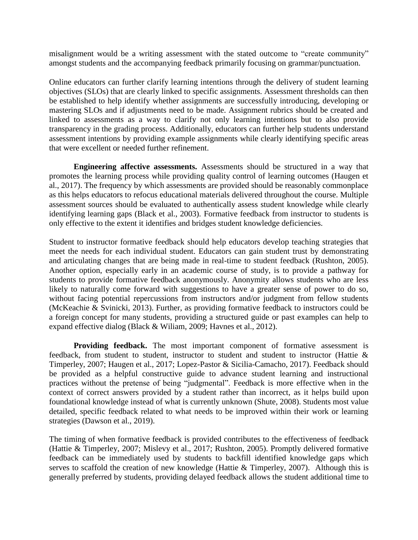misalignment would be a writing assessment with the stated outcome to "create community" amongst students and the accompanying feedback primarily focusing on grammar/punctuation.

Online educators can further clarify learning intentions through the delivery of student learning objectives (SLOs) that are clearly linked to specific assignments. Assessment thresholds can then be established to help identify whether assignments are successfully introducing, developing or mastering SLOs and if adjustments need to be made. Assignment rubrics should be created and linked to assessments as a way to clarify not only learning intentions but to also provide transparency in the grading process. Additionally, educators can further help students understand assessment intentions by providing example assignments while clearly identifying specific areas that were excellent or needed further refinement.

**Engineering affective assessments.** Assessments should be structured in a way that promotes the learning process while providing quality control of learning outcomes (Haugen et al., 2017). The frequency by which assessments are provided should be reasonably commonplace as this helps educators to refocus educational materials delivered throughout the course. Multiple assessment sources should be evaluated to authentically assess student knowledge while clearly identifying learning gaps (Black et al., 2003). Formative feedback from instructor to students is only effective to the extent it identifies and bridges student knowledge deficiencies.

Student to instructor formative feedback should help educators develop teaching strategies that meet the needs for each individual student. Educators can gain student trust by demonstrating and articulating changes that are being made in real-time to student feedback (Rushton, 2005). Another option, especially early in an academic course of study, is to provide a pathway for students to provide formative feedback anonymously. Anonymity allows students who are less likely to naturally come forward with suggestions to have a greater sense of power to do so, without facing potential repercussions from instructors and/or judgment from fellow students (McKeachie & Svinicki, 2013). Further, as providing formative feedback to instructors could be a foreign concept for many students, providing a structured guide or past examples can help to expand effective dialog (Black & Wiliam, 2009; Havnes et al., 2012).

**Providing feedback.** The most important component of formative assessment is feedback, from student to student, instructor to student and student to instructor (Hattie & Timperley, 2007; Haugen et al., 2017; Lopez-Pastor & Sicilia-Camacho, 2017). Feedback should be provided as a helpful constructive guide to advance student learning and instructional practices without the pretense of being "judgmental". Feedback is more effective when in the context of correct answers provided by a student rather than incorrect, as it helps build upon foundational knowledge instead of what is currently unknown (Shute, 2008). Students most value detailed, specific feedback related to what needs to be improved within their work or learning strategies (Dawson et al., 2019).

The timing of when formative feedback is provided contributes to the effectiveness of feedback (Hattie & Timperley, 2007; Mislevy et al., 2017; Rushton, 2005). Promptly delivered formative feedback can be immediately used by students to backfill identified knowledge gaps which serves to scaffold the creation of new knowledge (Hattie & Timperley, 2007). Although this is generally preferred by students, providing delayed feedback allows the student additional time to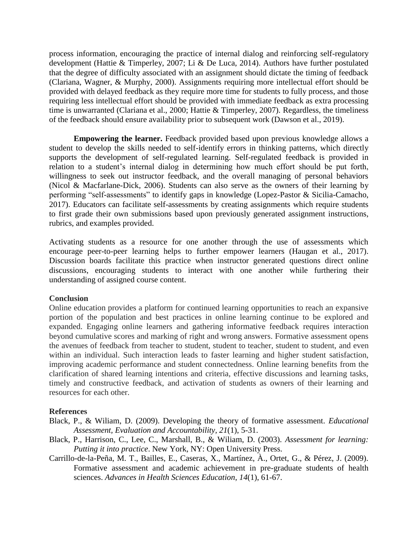process information, encouraging the practice of internal dialog and reinforcing self-regulatory development (Hattie & Timperley, 2007; Li & De Luca, 2014). Authors have further postulated that the degree of difficulty associated with an assignment should dictate the timing of feedback (Clariana, Wagner, & Murphy, 2000). Assignments requiring more intellectual effort should be provided with delayed feedback as they require more time for students to fully process, and those requiring less intellectual effort should be provided with immediate feedback as extra processing time is unwarranted (Clariana et al., 2000; Hattie & Timperley, 2007). Regardless, the timeliness of the feedback should ensure availability prior to subsequent work (Dawson et al., 2019).

**Empowering the learner.** Feedback provided based upon previous knowledge allows a student to develop the skills needed to self-identify errors in thinking patterns, which directly supports the development of self-regulated learning. Self-regulated feedback is provided in relation to a student's internal dialog in determining how much effort should be put forth, willingness to seek out instructor feedback, and the overall managing of personal behaviors (Nicol & Macfarlane-Dick, 2006). Students can also serve as the owners of their learning by performing "self-assessments" to identify gaps in knowledge (Lopez-Pastor & Sicilia-Camacho, 2017). Educators can facilitate self-assessments by creating assignments which require students to first grade their own submissions based upon previously generated assignment instructions, rubrics, and examples provided.

Activating students as a resource for one another through the use of assessments which encourage peer-to-peer learning helps to further empower learners (Haugan et al., 2017). Discussion boards facilitate this practice when instructor generated questions direct online discussions, encouraging students to interact with one another while furthering their understanding of assigned course content.

## **Conclusion**

Online education provides a platform for continued learning opportunities to reach an expansive portion of the population and best practices in online learning continue to be explored and expanded. Engaging online learners and gathering informative feedback requires interaction beyond cumulative scores and marking of right and wrong answers. Formative assessment opens the avenues of feedback from teacher to student, student to teacher, student to student, and even within an individual. Such interaction leads to faster learning and higher student satisfaction, improving academic performance and student connectedness. Online learning benefits from the clarification of shared learning intentions and criteria, effective discussions and learning tasks, timely and constructive feedback, and activation of students as owners of their learning and resources for each other.

## **References**

- Black, P., & Wiliam, D. (2009). Developing the theory of formative assessment. *Educational Assessment, Evaluation and Accountability, 21*(1), 5-31.
- Black, P., Harrison, C., Lee, C., Marshall, B., & Wiliam, D. (2003). *Assessment for learning: Putting it into practice*. New York, NY: Open University Press.
- Carrillo-de-la-Peña, M. T., Bailles, E., Caseras, X., Martínez, À., Ortet, G., & Pérez, J. (2009). Formative assessment and academic achievement in pre-graduate students of health sciences. *Advances in Health Sciences Education*, *14*(1), 61-67.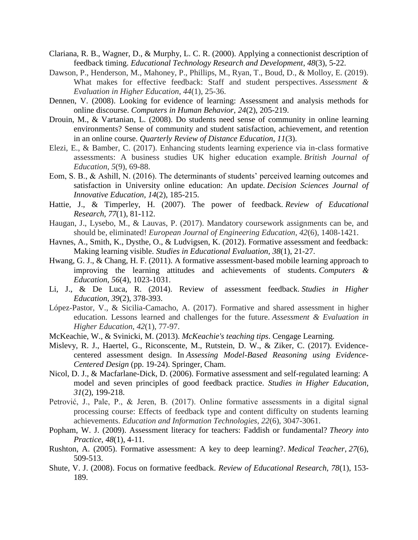- Clariana, R. B., Wagner, D., & Murphy, L. C. R. (2000). Applying a connectionist description of feedback timing. *Educational Technology Research and Development*, *48*(3), 5-22.
- Dawson, P., Henderson, M., Mahoney, P., Phillips, M., Ryan, T., Boud, D., & Molloy, E. (2019). What makes for effective feedback: Staff and student perspectives. *Assessment & Evaluation in Higher Education*, *44*(1), 25-36.
- Dennen, V. (2008). Looking for evidence of learning: Assessment and analysis methods for online discourse. *Computers in Human Behavior*, *24*(2), 205-219.
- Drouin, M., & Vartanian, L. (2008). Do students need sense of community in online learning environments? Sense of community and student satisfaction, achievement, and retention in an online course. *Quarterly Review of Distance Education, 11*(3).
- Elezi, E., & Bamber, C. (2017). Enhancing students learning experience via in-class formative assessments: A business studies UK higher education example. *British Journal of Education*, *5*(9), 69-88.
- Eom, S. B., & Ashill, N. (2016). The determinants of students' perceived learning outcomes and satisfaction in University online education: An update. *Decision Sciences Journal of Innovative Education*, *14*(2), 185-215.
- Hattie, J., & Timperley, H. (2007). The power of feedback. *Review of Educational Research*, *77*(1), 81-112.
- Haugan, J., Lysebo, M., & Lauvas, P. (2017). Mandatory coursework assignments can be, and should be, eliminated! *European Journal of Engineering Education*, *42*(6), 1408-1421.
- Havnes, A., Smith, K., Dysthe, O., & Ludvigsen, K. (2012). Formative assessment and feedback: Making learning visible. *Studies in Educational Evaluation*, *38*(1), 21-27.
- Hwang, G. J., & Chang, H. F. (2011). A formative assessment-based mobile learning approach to improving the learning attitudes and achievements of students. *Computers & Education*, *56*(4), 1023-1031.
- Li, J., & De Luca, R. (2014). Review of assessment feedback. *Studies in Higher Education*, *39*(2), 378-393.
- López-Pastor, V., & Sicilia-Camacho, A. (2017). Formative and shared assessment in higher education. Lessons learned and challenges for the future. *Assessment & Evaluation in Higher Education*, *42*(1), 77-97.
- McKeachie, W., & Svinicki, M. (2013). *McKeachie's teaching tips*. Cengage Learning.
- Mislevy, R. J., Haertel, G., Riconscente, M., Rutstein, D. W., & Ziker, C. (2017). Evidencecentered assessment design. In *Assessing Model-Based Reasoning using Evidence-Centered Design* (pp. 19-24). Springer, Cham.
- Nicol, D. J., & Macfarlane-Dick, D. (2006). Formative assessment and self-regulated learning: A model and seven principles of good feedback practice. *Studies in Higher Education*, *31*(2), 199-218.
- Petrović, J., Pale, P., & Jeren, B. (2017). Online formative assessments in a digital signal processing course: Effects of feedback type and content difficulty on students learning achievements. *Education and Information Technologies*, *22*(6), 3047-3061.
- Popham, W. J. (2009). Assessment literacy for teachers: Faddish or fundamental? *Theory into Practice*, *48*(1), 4-11.
- Rushton, A. (2005). Formative assessment: A key to deep learning?. *Medical Teacher*, *27*(6), 509-513.
- Shute, V. J. (2008). Focus on formative feedback. *Review of Educational Research, 78*(1), 153- 189.